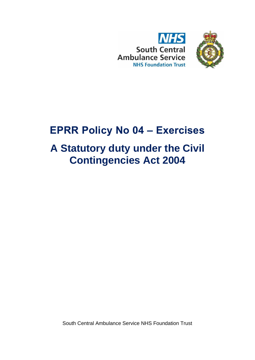



# **EPRR Policy No 04 – Exercises**

# **A Statutory duty under the Civil Contingencies Act 2004**

South Central Ambulance Service NHS Foundation Trust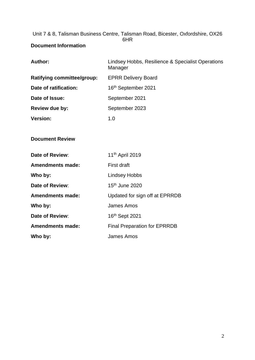Unit 7 & 8, Talisman Business Centre, Talisman Road, Bicester, Oxfordshire, OX26 6HR

## <span id="page-1-0"></span>**Document Information**

| <b>Author:</b>             | Lindsey Hobbs, Resilience & Specialist Operations<br>Manager |  |  |
|----------------------------|--------------------------------------------------------------|--|--|
| Ratifying committee/group: | <b>EPRR Delivery Board</b>                                   |  |  |
| Date of ratification:      | 16 <sup>th</sup> September 2021                              |  |  |
| Date of Issue:             | September 2021                                               |  |  |
| Review due by:             | September 2023                                               |  |  |
| <b>Version:</b>            | 1.0                                                          |  |  |
|                            |                                                              |  |  |
| <b>Document Review</b>     |                                                              |  |  |
| Date of Review:            | 11 <sup>th</sup> April 2019                                  |  |  |
| <b>Amendments made:</b>    | <b>First draft</b>                                           |  |  |
| Who by:                    | <b>Lindsey Hobbs</b>                                         |  |  |
| Date of Review:            | 15th June 2020                                               |  |  |
| <b>Amendments made:</b>    | Updated for sign off at EPRRDB                               |  |  |
| Who by:                    | <b>James Amos</b>                                            |  |  |
| Date of Review:            | 16th Sept 2021                                               |  |  |
| <b>Amendments made:</b>    | <b>Final Preparation for EPRRDB</b>                          |  |  |
| Who by:                    | James Amos                                                   |  |  |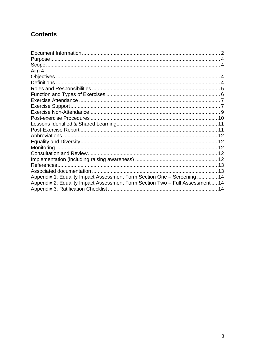## **Contents**

| Aim 4                                                                         |  |
|-------------------------------------------------------------------------------|--|
|                                                                               |  |
|                                                                               |  |
|                                                                               |  |
|                                                                               |  |
|                                                                               |  |
|                                                                               |  |
|                                                                               |  |
|                                                                               |  |
|                                                                               |  |
|                                                                               |  |
|                                                                               |  |
|                                                                               |  |
|                                                                               |  |
|                                                                               |  |
|                                                                               |  |
|                                                                               |  |
|                                                                               |  |
| Appendix 1: Equality Impact Assessment Form Section One - Screening  14       |  |
| Appendix 2: Equality Impact Assessment Form Section Two - Full Assessment  14 |  |
|                                                                               |  |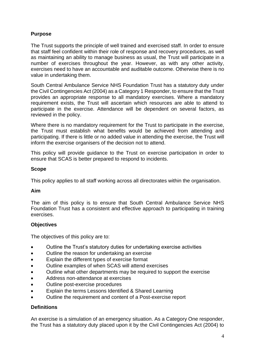## <span id="page-3-0"></span>**Purpose**

The Trust supports the principle of well trained and exercised staff. In order to ensure that staff feel confident within their role of response and recovery procedures, as well as maintaining an ability to manage business as usual, the Trust will participate in a number of exercises throughout the year. However, as with any other activity, exercises need to have an accountable and auditable outcome. Otherwise there is no value in undertaking them.

South Central Ambulance Service NHS Foundation Trust has a statutory duty under the Civil Contingencies Act (2004) as a Category 1 Responder, to ensure that the Trust provides an appropriate response to all mandatory exercises. Where a mandatory requirement exists, the Trust will ascertain which resources are able to attend to participate in the exercise. Attendance will be dependent on several factors, as reviewed in the policy.

Where there is no mandatory requirement for the Trust to participate in the exercise, the Trust must establish what benefits would be achieved from attending and participating. If there is little or no added value in attending the exercise, the Trust will inform the exercise organisers of the decision not to attend.

This policy will provide guidance to the Trust on exercise participation in order to ensure that SCAS is better prepared to respond to incidents.

## <span id="page-3-1"></span>**Scope**

This policy applies to all staff working across all directorates within the organisation.

#### <span id="page-3-2"></span>**Aim**

The aim of this policy is to ensure that South Central Ambulance Service NHS Foundation Trust has a consistent and effective approach to participating in training exercises.

## <span id="page-3-3"></span>**Objectives**

The objectives of this policy are to:

- Outline the Trust's statutory duties for undertaking exercise activities
- Outline the reason for undertaking an exercise
- Explain the different types of exercise format
- Outline examples of when SCAS will attend exercises
- Outline what other departments may be required to support the exercise
- Address non-attendance at exercises
- Outline post-exercise procedures
- Explain the terms Lessons Identified & Shared Learning
- Outline the requirement and content of a Post-exercise report

#### <span id="page-3-4"></span>**Definitions**

An exercise is a simulation of an emergency situation. As a Category One responder, the Trust has a statutory duty placed upon it by the Civil Contingencies Act (2004) to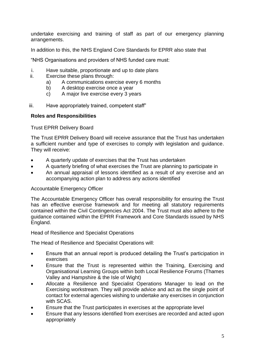undertake exercising and training of staff as part of our emergency planning arrangements.

In addition to this, the NHS England Core Standards for EPRR also state that

"NHS Organisations and providers of NHS funded care must:

- i. Have suitable, proportionate and up to date plans
- ii. Exercise these plans through:
	- a) A communications exercise every 6 months
	- b) A desktop exercise once a year
	- c) A major live exercise every 3 years
- iii. Have appropriately trained, competent staff"

#### <span id="page-4-0"></span>**Roles and Responsibilities**

Trust EPRR Delivery Board

The Trust EPRR Delivery Board will receive assurance that the Trust has undertaken a sufficient number and type of exercises to comply with legislation and guidance. They will receive:

- A quarterly update of exercises that the Trust has undertaken
- A quarterly briefing of what exercises the Trust are planning to participate in
- An annual appraisal of lessons identified as a result of any exercise and an accompanying action plan to address any actions identified

#### Accountable Emergency Officer

The Accountable Emergency Officer has overall responsibility for ensuring the Trust has an effective exercise framework and for meeting all statutory requirements contained within the Civil Contingencies Act 2004. The Trust must also adhere to the guidance contained within the EPRR Framework and Core Standards issued by NHS England.

Head of Resilience and Specialist Operations

The Head of Resilience and Specialist Operations will:

- Ensure that an annual report is produced detailing the Trust's participation in exercises
- Ensure that the Trust is represented within the Training, Exercising and Organisational Learning Groups within both Local Resilience Forums (Thames Valley and Hampshire & the Isle of Wight)
- Allocate a Resilience and Specialist Operations Manager to lead on the Exercising workstream. They will provide advice and act as the single point of contact for external agencies wishing to undertake any exercises in conjunction with SCAS.
- Ensure that the Trust participates in exercises at the appropriate level
- Ensure that any lessons identified from exercises are recorded and acted upon appropriately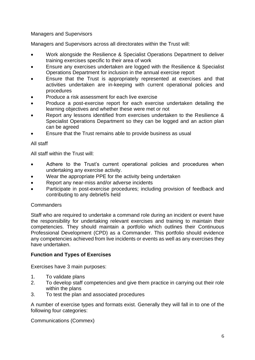## Managers and Supervisors

Managers and Supervisors across all directorates within the Trust will:

- Work alongside the Resilience & Specialist Operations Department to deliver training exercises specific to their area of work
- Ensure any exercises undertaken are logged with the Resilience & Specialist Operations Department for inclusion in the annual exercise report
- Ensure that the Trust is appropriately represented at exercises and that activities undertaken are in-keeping with current operational policies and procedures
- Produce a risk assessment for each live exercise
- Produce a post-exercise report for each exercise undertaken detailing the learning objectives and whether these were met or not
- Report any lessons identified from exercises undertaken to the Resilience & Specialist Operations Department so they can be logged and an action plan can be agreed
- Ensure that the Trust remains able to provide business as usual

## All staff

All staff within the Trust will:

- Adhere to the Trust's current operational policies and procedures when undertaking any exercise activity.
- Wear the appropriate PPE for the activity being undertaken
- Report any near-miss and/or adverse incidents
- Participate in post-exercise procedures; including provision of feedback and contributing to any debrief/s held

#### **Commanders**

Staff who are required to undertake a command role during an incident or event have the responsibility for undertaking relevant exercises and training to maintain their competencies. They should maintain a portfolio which outlines their Continuous Professional Development (CPD) as a Commander. This portfolio should evidence any competencies achieved from live incidents or events as well as any exercises they have undertaken.

#### <span id="page-5-0"></span>**Function and Types of Exercises**

Exercises have 3 main purposes:

- 1. To validate plans
- 2. To develop staff competencies and give them practice in carrying out their role within the plans
- 3. To test the plan and associated procedures

A number of exercise types and formats exist. Generally they will fall in to one of the following four categories:

Communications (Commex)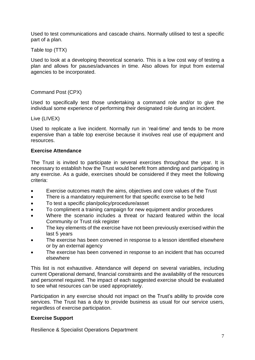Used to test communications and cascade chains. Normally utilised to test a specific part of a plan.

Table top (TTX)

Used to look at a developing theoretical scenario. This is a low cost way of testing a plan and allows for pauses/advances in time. Also allows for input from external agencies to be incorporated.

## Command Post (CPX)

Used to specifically test those undertaking a command role and/or to give the individual some experience of performing their designated role during an incident.

Live (LIVEX)

Used to replicate a live incident. Normally run in 'real-time' and tends to be more expensive than a table top exercise because it involves real use of equipment and resources.

#### <span id="page-6-0"></span>**Exercise Attendance**

The Trust is invited to participate in several exercises throughout the year. It is necessary to establish how the Trust would benefit from attending and participating in any exercise. As a guide, exercises should be considered if they meet the following criteria:

- Exercise outcomes match the aims, objectives and core values of the Trust
- There is a mandatory requirement for that specific exercise to be held
- To test a specific plan/policy/procedure/asset
- To compliment a training campaign for new equipment and/or procedures
- Where the scenario includes a threat or hazard featured within the local Community or Trust risk register
- The key elements of the exercise have not been previously exercised within the last 5 years
- The exercise has been convened in response to a lesson identified elsewhere or by an external agency
- The exercise has been convened in response to an incident that has occurred elsewhere

This list is not exhaustive. Attendance will depend on several variables, including current Operational demand, financial constraints and the availability of the resources and personnel required. The impact of each suggested exercise should be evaluated to see what resources can be used appropriately.

Participation in any exercise should not impact on the Trust's ability to provide core services. The Trust has a duty to provide business as usual for our service users, regardless of exercise participation.

#### <span id="page-6-1"></span>**Exercise Support**

Resilience & Specialist Operations Department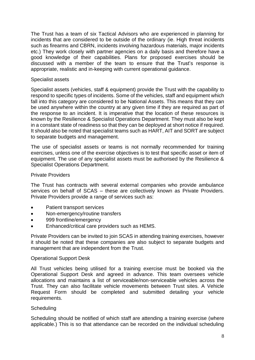The Trust has a team of six Tactical Advisors who are experienced in planning for incidents that are considered to be outside of the ordinary (ie. High threat incidents such as firearms and CBRN, incidents involving hazardous materials, major incidents etc.) They work closely with partner agencies on a daily basis and therefore have a good knowledge of their capabilities. Plans for proposed exercises should be discussed with a member of the team to ensure that the Trust's response is appropriate, realistic and in-keeping with current operational guidance.

#### Specialist assets

Specialist assets (vehicles, staff & equipment) provide the Trust with the capability to respond to specific types of incidents. Some of the vehicles, staff and equipment which fall into this category are considered to be National Assets. This means that they can be used anywhere within the country at any given time if they are required as part of the response to an incident. It is imperative that the location of these resources is known by the Resilience & Specialist Operations Department. They must also be kept in a constant state of readiness so that they can be deployed at short notice if required. It should also be noted that specialist teams such as HART, AIT and SORT are subject to separate budgets and management.

The use of specialist assets or teams is not normally recommended for training exercises, unless one of the exercise objectives is to test that specific asset or item of equipment. The use of any specialist assets must be authorised by the Resilience & Specialist Operations Department.

#### Private Providers

The Trust has contracts with several external companies who provide ambulance services on behalf of SCAS – these are collectively known as Private Providers. Private Providers provide a range of services such as:

- Patient transport services
- Non-emergency/routine transfers
- 999 frontline/emergency
- Enhanced/critical care providers such as HEMS.

Private Providers can be invited to join SCAS in attending training exercises, however it should be noted that these companies are also subject to separate budgets and management that are independent from the Trust.

#### Operational Support Desk

All Trust vehicles being utilised for a training exercise must be booked via the Operational Support Desk and agreed in advance. This team oversees vehicle allocations and maintains a list of serviceable/non-serviceable vehicles across the Trust. They can also facilitate vehicle movements between Trust sites. A Vehicle Request Form should be completed and submitted detailing your vehicle requirements.

#### **Scheduling**

Scheduling should be notified of which staff are attending a training exercise (where applicable.) This is so that attendance can be recorded on the individual scheduling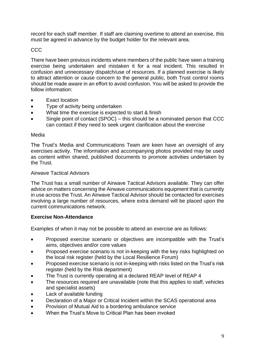record for each staff member. If staff are claiming overtime to attend an exercise, this must be agreed in advance by the budget holder for the relevant area.

## CCC

There have been previous incidents where members of the public have seen a training exercise being undertaken and mistaken it for a real incident. This resulted in confusion and unnecessary dispatch/use of resources. If a planned exercise is likely to attract attention or cause concern to the general public, both Trust control rooms should be made aware in an effort to avoid confusion. You will be asked to provide the follow information:

- Exact location
- Type of activity being undertaken
- What time the exercise is expected to start & finish
- Single point of contact (SPOC) this should be a nominated person that CCC can contact if they need to seek urgent clarification about the exercise

#### Media

The Trust's Media and Communications Team are keen have an oversight of any exercises activity. The information and accompanying photos provided may be used as content within shared, published documents to promote activities undertaken by the Trust.

#### Airwave Tactical Advisors

The Trust has a small number of Airwave Tactical Advisors available. They can offer advice on matters concerning the Airwave communications equipment that is currently in use across the Trust. An Airwave Tactical Advisor should be contacted for exercises involving a large number of resources, where extra demand will be placed upon the current communications network.

#### <span id="page-8-0"></span>**Exercise Non-Attendance**

Examples of when it may not be possible to attend an exercise are as follows:

- Proposed exercise scenario or objectives are incompatible with the Trust's aims, objectives and/or core values
- Proposed exercise scenario is not in-keeping with the key risks highlighted on the local risk register (held by the Local Resilience Forum)
- Proposed exercise scenario is not in-keeping with risks listed on the Trust's risk register (held by the Risk department)
- The Trust is currently operating at a declared REAP level of REAP 4
- The resources required are unavailable (note that this applies to staff, vehicles and specialist assets)
- Lack of available funding
- Declaration of a Major or Critical Incident within the SCAS operational area
- Provision of Mutual Aid to a bordering ambulance service
- When the Trust's Move to Critical Plan has been invoked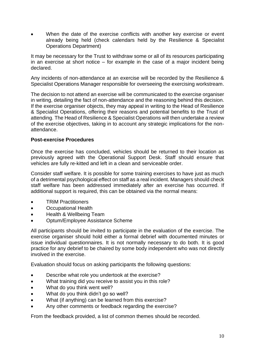When the date of the exercise conflicts with another key exercise or event already being held (check calendars held by the Resilience & Specialist Operations Department)

It may be necessary for the Trust to withdraw some or all of its resources participating in an exercise at short notice – for example in the case of a major incident being declared.

Any incidents of non-attendance at an exercise will be recorded by the Resilience & Specialist Operations Manager responsible for overseeing the exercising workstream.

The decision to not attend an exercise will be communicated to the exercise organiser in writing, detailing the fact of non-attendance and the reasoning behind this decision. If the exercise organiser objects, they may appeal in writing to the Head of Resilience & Specialist Operations, offering their reasons and potential benefits to the Trust of attending. The Head of Resilience & Specialist Operations will then undertake a review of the exercise objectives, taking in to account any strategic implications for the nonattendance.

## <span id="page-9-0"></span>**Post-exercise Procedures**

Once the exercise has concluded, vehicles should be returned to their location as previously agreed with the Operational Support Desk. Staff should ensure that vehicles are fully re-kitted and left in a clean and serviceable order.

Consider staff welfare. It is possible for some training exercises to have just as much of a detrimental psychological effect on staff as a real incident. Managers should check staff welfare has been addressed immediately after an exercise has occurred. If additional support is required, this can be obtained via the normal means:

- TRiM Practitioners
- Occupational Health
- Health & Wellbeing Team
- Optum/Employee Assistance Scheme

All participants should be invited to participate in the evaluation of the exercise. The exercise organiser should hold either a formal debrief with documented minutes or issue individual questionnaires. It is not normally necessary to do both. It is good practice for any debrief to be chaired by some body independent who was not directly involved in the exercise.

Evaluation should focus on asking participants the following questions:

- Describe what role you undertook at the exercise?
- What training did you receive to assist you in this role?
- What do you think went well?
- What do you think didn't go so well?
- What (if anything) can be learned from this exercise?
- Any other comments or feedback regarding the exercise?

From the feedback provided, a list of common themes should be recorded.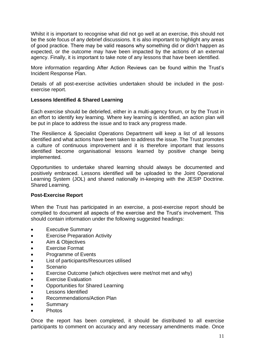Whilst it is important to recognise what did not go well at an exercise, this should not be the sole focus of any debrief discussions. It is also important to highlight any areas of good practice. There may be valid reasons why something did or didn't happen as expected, or the outcome may have been impacted by the actions of an external agency. Finally, it is important to take note of any lessons that have been identified.

More information regarding After Action Reviews can be found within the Trust's Incident Response Plan.

Details of all post-exercise activities undertaken should be included in the postexercise report.

#### <span id="page-10-0"></span>**Lessons Identified & Shared Learning**

Each exercise should be debriefed, either in a multi-agency forum, or by the Trust in an effort to identify key learning. Where key learning is identified, an action plan will be put in place to address the issue and to track any progress made.

The Resilience & Specialist Operations Department will keep a list of all lessons identified and what actions have been taken to address the issue. The Trust promotes a culture of continuous improvement and it is therefore important that lessons identified become organisational lessons learned by positive change being implemented.

Opportunities to undertake shared learning should always be documented and positively embraced. Lessons identified will be uploaded to the Joint Operational Learning System (JOL) and shared nationally in-keeping with the JESIP Doctrine. Shared Learning.

#### <span id="page-10-1"></span>**Post-Exercise Report**

When the Trust has participated in an exercise, a post-exercise report should be complied to document all aspects of the exercise and the Trust's involvement. This should contain information under the following suggested headings:

- Executive Summary
- Exercise Preparation Activity
- Aim & Objectives
- Exercise Format
- Programme of Events
- List of participants/Resources utilised
- Scenario
- Exercise Outcome (which objectives were met/not met and why)
- Exercise Evaluation
- Opportunities for Shared Learning
- Lessons Identified
- Recommendations/Action Plan
- **Summary**
- Photos

Once the report has been completed, it should be distributed to all exercise participants to comment on accuracy and any necessary amendments made. Once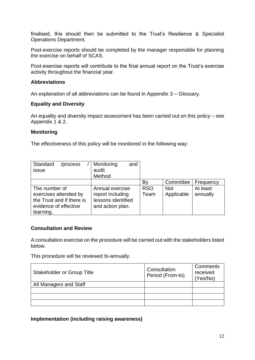finalised, this should then be submitted to the Trust's Resilience & Specialist Operations Department.

Post-exercise reports should be completed by the manager responsible for planning the exercise on behalf of SCAS.

Post-exercise reports will contribute to the final annual report on the Trust's exercise activity throughout the financial year.

## <span id="page-11-0"></span>**Abbreviations**

An explanation of all abbreviations can be found in Appendix 3 – Glossary.

## <span id="page-11-1"></span>**Equality and Diversity**

An equality and diversity impact assessment has been carried out on this policy – see Appendix 1 & 2.

## <span id="page-11-2"></span>**Monitoring**

The effectiveness of this policy will be monitored in the following way:

| Standard<br>/process      | Monitoring<br>and  |            |            |           |
|---------------------------|--------------------|------------|------------|-----------|
| issue                     | audit              |            |            |           |
|                           | Method             |            |            |           |
|                           |                    | Bv         | Committee  | Frequency |
| The number of             | Annual exercise    | <b>RSO</b> | <b>Not</b> | At least  |
| exercises attended by     | report including   | Team       | Applicable | annually  |
| the Trust and if there is | lessons identified |            |            |           |
| evidence of effective     | and action plan.   |            |            |           |
| learning.                 |                    |            |            |           |

#### <span id="page-11-3"></span>**Consultation and Review**

A consultation exercise on the procedure will be carried out with the stakeholders listed below.

This procedure will be reviewed bi-annually.

| <b>Stakeholder or Group Title</b> | Consultation<br>Period (From-to) | Comments<br>received<br>(Yes/No) |
|-----------------------------------|----------------------------------|----------------------------------|
| All Managers and Staff            |                                  |                                  |
|                                   |                                  |                                  |
|                                   |                                  |                                  |
|                                   |                                  |                                  |

<span id="page-11-4"></span>**Implementation (including raising awareness)**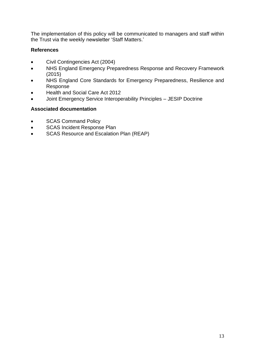The implementation of this policy will be communicated to managers and staff within the Trust via the weekly newsletter 'Staff Matters.'

## <span id="page-12-0"></span>**References**

- Civil Contingencies Act (2004)
- NHS England Emergency Preparedness Response and Recovery Framework (2015)
- NHS England Core Standards for Emergency Preparedness, Resilience and Response
- Health and Social Care Act 2012
- Joint Emergency Service Interoperability Principles JESIP Doctrine

## <span id="page-12-1"></span>**Associated documentation**

- SCAS Command Policy
- SCAS Incident Response Plan
- SCAS Resource and Escalation Plan (REAP)